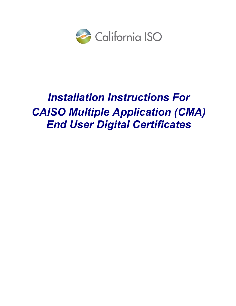

# Installation Instructions For CAISO Multiple Application (CMA) End User Digital Certificates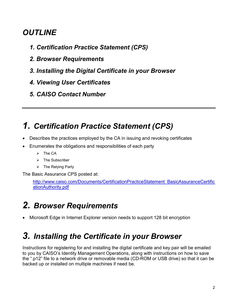#### **OUTLINE**

- 1. Certification Practice Statement (CPS)
- 2. Browser Requirements
- 3. Installing the Digital Certificate in your Browser
- 4. Viewing User Certificates
- 5. CAISO Contact Number

## 1. Certification Practice Statement (CPS)

- Describes the practices employed by the CA in issuing and revoking certificates
- Enumerates the obligations and responsibilities of each party
	- $\triangleright$  The CA
	- $\triangleright$  The Subscriber
	- $\triangleright$  The Relying Party

The Basic Assurance CPS posted at:

 http://www.caiso.com/Documents/CertificationPracticeStatement\_BasicAssuranceCertific ationAuthority.pdf

# 2. Browser Requirements

Microsoft Edge in Internet Explorer version needs to support 128 bit encryption

### 3. Installing the Certificate in your Browser

Instructions for registering for and installing the digital certificate and key pair will be emailed to you by CAISO's Identity Management Operations, along with instructions on how to save the ".p12" file to a network drive or removable media (CD-ROM or USB drive) so that it can be backed up or installed on multiple machines if need be.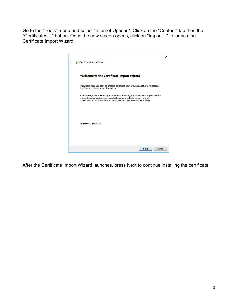Go to the "Tools" menu and select "Internet Options". Click on the "Content" tab then the "Certificates…" button. Once the new screen opens, click on "Import…" to launch the Certificate Import Wizard.



After the Certificate Import Wizard launches, press Next to continue installing the certificate.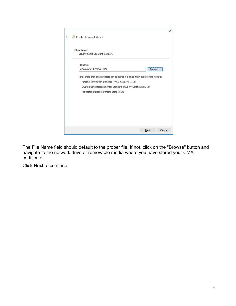| Specify the file you want to import. |                                                                                          |        |
|--------------------------------------|------------------------------------------------------------------------------------------|--------|
|                                      |                                                                                          |        |
| File name:<br>U:\CAISOC~\SAMPLE~.pfx |                                                                                          |        |
|                                      |                                                                                          | Browse |
|                                      | Note: More than one certificate can be stored in a single file in the following formats: |        |
|                                      |                                                                                          |        |
|                                      | Personal Information Exchange-PKCS #12 (.PFX, .P12)                                      |        |
|                                      | Cryptographic Message Syntax Standard-PKCS #7 Certificates (.P7B)                        |        |
|                                      | Microsoft Serialized Certificate Store (.SST)                                            |        |
|                                      |                                                                                          |        |
|                                      |                                                                                          |        |
|                                      |                                                                                          |        |
|                                      |                                                                                          |        |
|                                      |                                                                                          |        |

The File Name field should default to the proper file. If not, click on the "Browse" button and navigate to the network drive or removable media where you have stored your CMA certificate.

Click Next to continue.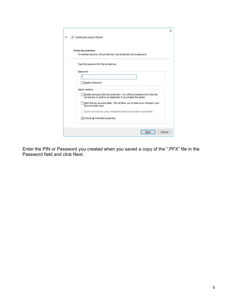| <b>Private key protection</b>                                                                                                                 |
|-----------------------------------------------------------------------------------------------------------------------------------------------|
| To maintain security, the private key was protected with a password.                                                                          |
| Type the password for the private key.                                                                                                        |
| Password:                                                                                                                                     |
|                                                                                                                                               |
| Display Password                                                                                                                              |
| Import options:                                                                                                                               |
| Enable strong private key protection. You will be prompted every time the<br>private key is used by an application if you enable this option. |
| Mark this key as exportable. This will allow you to back up or transport your<br>keys at a later time.                                        |
| Protect private key using virtualized-based security (Non-exportable)                                                                         |
| $\sqrt{\ }$ Include all extended properties.                                                                                                  |

Enter the PIN or Password you created when you saved a copy of the ".PFX" file in the Password field and click Next.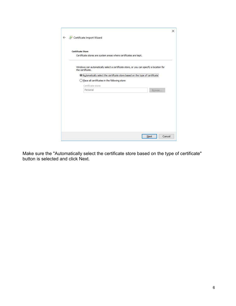| <b>Certificate Store</b> |                                                                  |                                                                                         |  |
|--------------------------|------------------------------------------------------------------|-----------------------------------------------------------------------------------------|--|
|                          | Certificate stores are system areas where certificates are kept. |                                                                                         |  |
| the certificate.         |                                                                  | Windows can automatically select a certificate store, or you can specify a location for |  |
|                          |                                                                  | Automatically select the certificate store based on the type of certificate             |  |
|                          | $\bigcirc$ Place all certificates in the following store         |                                                                                         |  |
| Certificate store:       |                                                                  |                                                                                         |  |
| Personal                 |                                                                  | Browse                                                                                  |  |
|                          |                                                                  |                                                                                         |  |
|                          |                                                                  |                                                                                         |  |
|                          |                                                                  |                                                                                         |  |
|                          |                                                                  |                                                                                         |  |
|                          |                                                                  |                                                                                         |  |
|                          |                                                                  |                                                                                         |  |

Make sure the "Automatically select the certificate store based on the type of certificate" button is selected and click Next.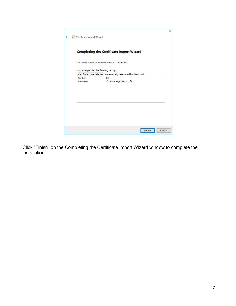|           | <b>Completing the Certificate Import Wizard</b>                          |  |
|-----------|--------------------------------------------------------------------------|--|
|           | The certificate will be imported after you click Finish.                 |  |
|           |                                                                          |  |
|           | You have specified the following settings:                               |  |
| Content   | Certificate Store Selected Automatically determined by the wizard<br>PFX |  |
| File Name | U:\CAISOC~\SAMPLE~.pfx                                                   |  |
|           |                                                                          |  |
|           |                                                                          |  |
|           |                                                                          |  |
|           |                                                                          |  |
|           |                                                                          |  |
|           |                                                                          |  |
|           |                                                                          |  |

Click "Finish" on the Completing the Certificate Import Wizard window to complete the installation.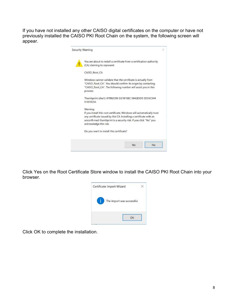If you have not installed any other CAISO digital certificates on the computer or have not previously installed the CAISO PKI Root Chain on the system, the following screen will appear.

| Security Warning                                                                                                                                                                                                                                        |  |
|---------------------------------------------------------------------------------------------------------------------------------------------------------------------------------------------------------------------------------------------------------|--|
| You are about to install a certificate from a certification authority<br>(CA) claiming to represent:                                                                                                                                                    |  |
| CAISO Root CA                                                                                                                                                                                                                                           |  |
| Windows cannot validate that the certificate is actually from<br>"CAISO_Root_CA". You should confirm its origin by contacting<br>"CAISO_Root_CA". The following number will assist you in this<br>process:                                              |  |
| Thumbprint (sha1): 07892C06 D21B16EC 5642E5D0 5D33C544<br>51870E5A                                                                                                                                                                                      |  |
| Warning:<br>If you install this root certificate. Windows will automatically trust<br>any certificate issued by this CA. Installing a certificate with an<br>unconfirmed thumbprint is a security risk. If you click "Yes" you<br>acknowledge this risk |  |
| Do you want to install this certificate?                                                                                                                                                                                                                |  |
| No.<br>Yes                                                                                                                                                                                                                                              |  |

Click Yes on the Root Certificate Store window to install the CAISO PKI Root Chain into your browser.



Click OK to complete the installation.